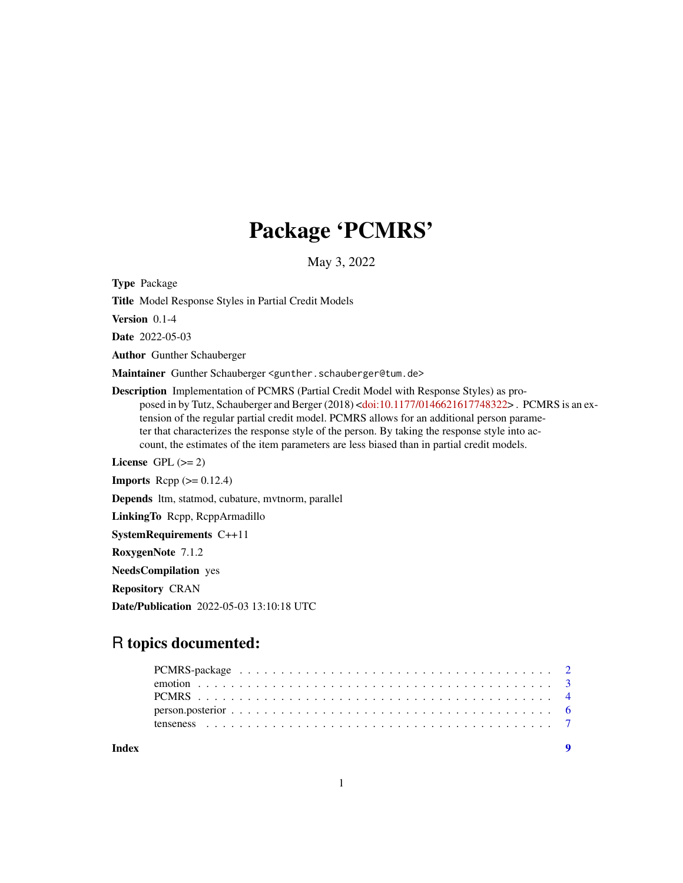## Package 'PCMRS'

May 3, 2022

<span id="page-0-0"></span>Type Package

Title Model Response Styles in Partial Credit Models

Version 0.1-4

Date 2022-05-03

Author Gunther Schauberger

Maintainer Gunther Schauberger <gunther.schauberger@tum.de>

Description Implementation of PCMRS (Partial Credit Model with Response Styles) as pro-posed in by Tutz, Schauberger and Berger (2018) [<doi:10.1177/0146621617748322>](https://doi.org/10.1177/0146621617748322). PCMRS is an extension of the regular partial credit model. PCMRS allows for an additional person parameter that characterizes the response style of the person. By taking the response style into account, the estimates of the item parameters are less biased than in partial credit models.

License GPL  $(>= 2)$ 

**Imports** Rcpp  $(>= 0.12.4)$ 

Depends ltm, statmod, cubature, mvtnorm, parallel

LinkingTo Rcpp, RcppArmadillo

SystemRequirements C++11

RoxygenNote 7.1.2

NeedsCompilation yes

Repository CRAN

Date/Publication 2022-05-03 13:10:18 UTC

### R topics documented:

**Index** [9](#page-8-0)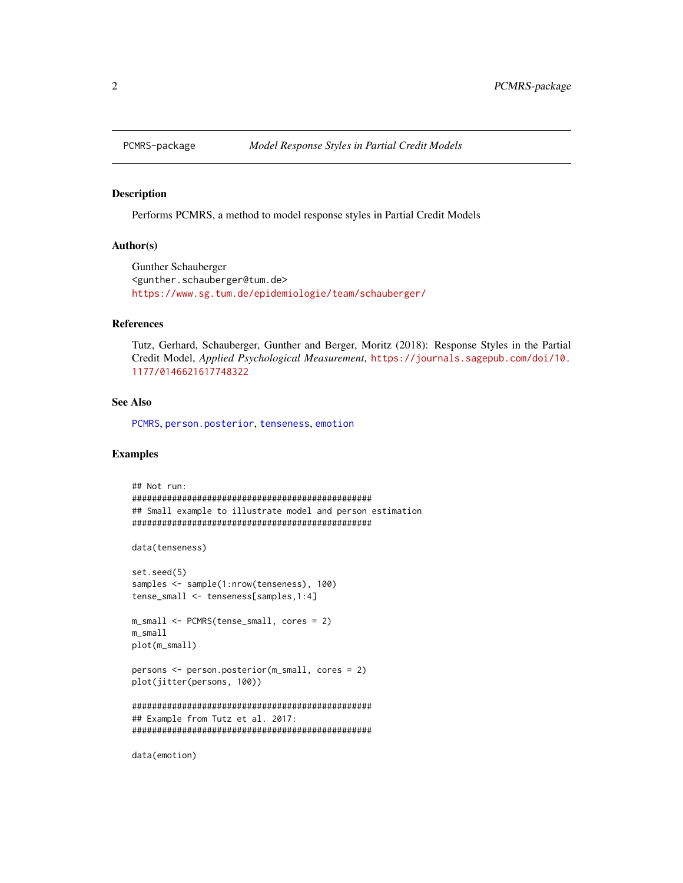<span id="page-1-1"></span><span id="page-1-0"></span>

#### Description

Performs PCMRS, a method to model response styles in Partial Credit Models

#### Author(s)

Gunther Schauberger <gunther.schauberger@tum.de> <https://www.sg.tum.de/epidemiologie/team/schauberger/>

#### References

Tutz, Gerhard, Schauberger, Gunther and Berger, Moritz (2018): Response Styles in the Partial Credit Model, *Applied Psychological Measurement*, [https://journals.sagepub.com/doi/10.](https://journals.sagepub.com/doi/10.1177/0146621617748322) [1177/0146621617748322](https://journals.sagepub.com/doi/10.1177/0146621617748322)

#### See Also

[PCMRS](#page-3-1), [person.posterior](#page-5-1), [tenseness](#page-6-1), [emotion](#page-2-1)

#### Examples

```
## Not run:
################################################
## Small example to illustrate model and person estimation
################################################
data(tenseness)
set.seed(5)
samples <- sample(1:nrow(tenseness), 100)
tense_small <- tenseness[samples,1:4]
m_small <- PCMRS(tense_small, cores = 2)
m_small
plot(m_small)
persons <- person.posterior(m_small, cores = 2)
plot(jitter(persons, 100))
################################################
## Example from Tutz et al. 2017:
################################################
```
data(emotion)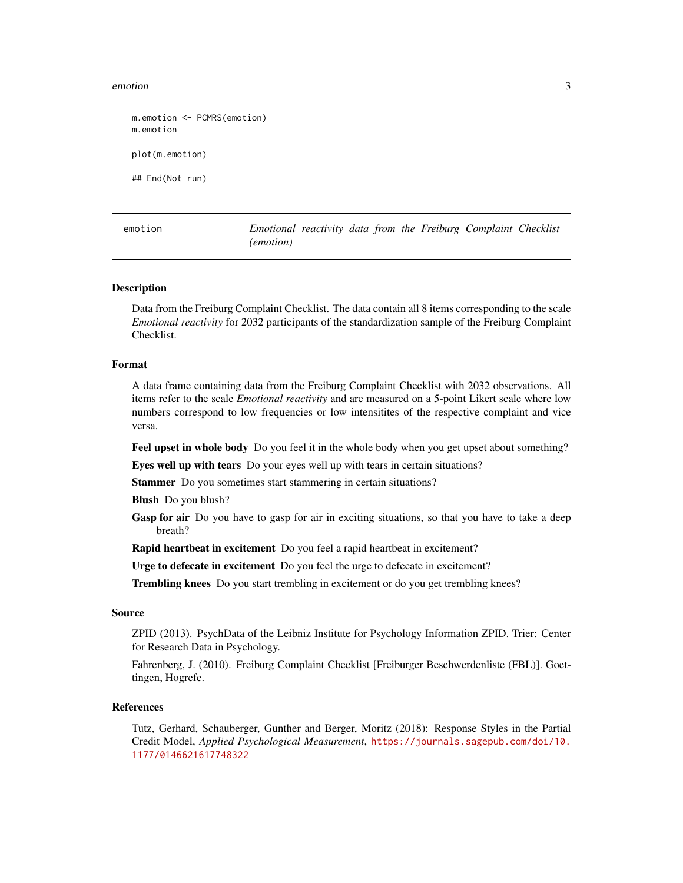#### <span id="page-2-0"></span>emotion 3

```
m.emotion <- PCMRS(emotion)
m.emotion
plot(m.emotion)
## End(Not run)
```
<span id="page-2-1"></span>emotion *Emotional reactivity data from the Freiburg Complaint Checklist (emotion)*

#### Description

Data from the Freiburg Complaint Checklist. The data contain all 8 items corresponding to the scale *Emotional reactivity* for 2032 participants of the standardization sample of the Freiburg Complaint Checklist.

#### Format

A data frame containing data from the Freiburg Complaint Checklist with 2032 observations. All items refer to the scale *Emotional reactivity* and are measured on a 5-point Likert scale where low numbers correspond to low frequencies or low intensitites of the respective complaint and vice versa.

Feel upset in whole body Do you feel it in the whole body when you get upset about something?

Eyes well up with tears Do your eyes well up with tears in certain situations?

Stammer Do you sometimes start stammering in certain situations?

Blush Do you blush?

Gasp for air Do you have to gasp for air in exciting situations, so that you have to take a deep breath?

Rapid heartbeat in excitement Do you feel a rapid heartbeat in excitement?

Urge to defecate in excitement Do you feel the urge to defecate in excitement?

Trembling knees Do you start trembling in excitement or do you get trembling knees?

#### Source

ZPID (2013). PsychData of the Leibniz Institute for Psychology Information ZPID. Trier: Center for Research Data in Psychology.

Fahrenberg, J. (2010). Freiburg Complaint Checklist [Freiburger Beschwerdenliste (FBL)]. Goettingen, Hogrefe.

#### References

Tutz, Gerhard, Schauberger, Gunther and Berger, Moritz (2018): Response Styles in the Partial Credit Model, *Applied Psychological Measurement*, [https://journals.sagepub.com/doi/10.](https://journals.sagepub.com/doi/10.1177/0146621617748322) [1177/0146621617748322](https://journals.sagepub.com/doi/10.1177/0146621617748322)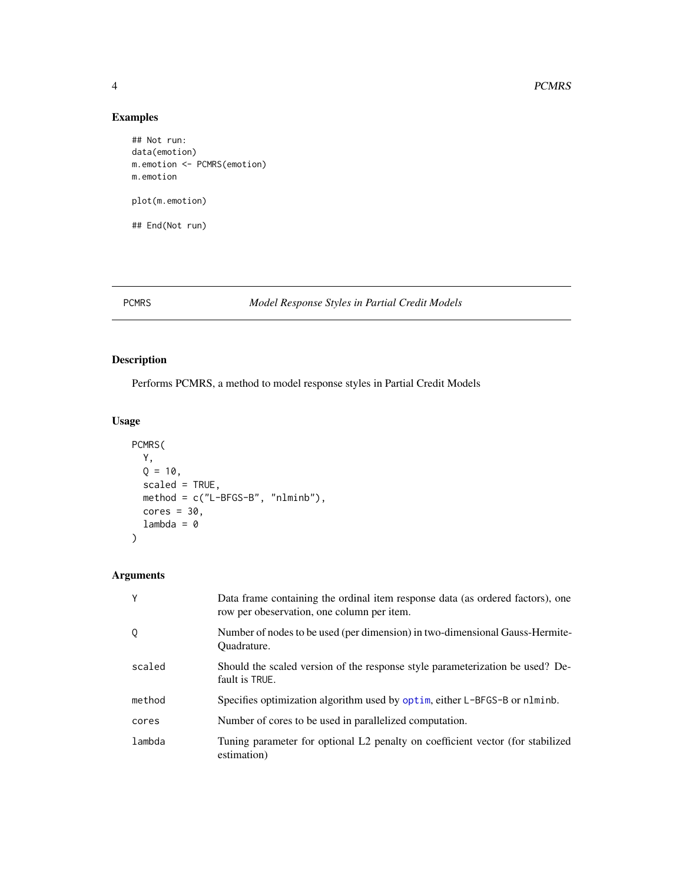#### Examples

```
## Not run:
data(emotion)
m.emotion <- PCMRS(emotion)
m.emotion
plot(m.emotion)
## End(Not run)
```
#### <span id="page-3-1"></span>PCMRS *Model Response Styles in Partial Credit Models*

#### Description

Performs PCMRS, a method to model response styles in Partial Credit Models

#### Usage

```
PCMRS(
 Y,
 Q = 10,
 scaled = TRUE,
 method = c("L-BFGS-B", "nlminb"),
 cores = 30,
 lambda = 0)
```
#### Arguments

| Y      | Data frame containing the ordinal item response data (as ordered factors), one<br>row per obeservation, one column per item. |
|--------|------------------------------------------------------------------------------------------------------------------------------|
| Q      | Number of nodes to be used (per dimension) in two-dimensional Gauss-Hermite-<br>Ouadrature.                                  |
| scaled | Should the scaled version of the response style parameterization be used? De-<br>fault is TRUE.                              |
| method | Specifies optimization algorithm used by optim, either L-BFGS-B or nlminb.                                                   |
| cores  | Number of cores to be used in parallelized computation.                                                                      |
| lambda | Tuning parameter for optional L2 penalty on coefficient vector (for stabilized<br>estimation)                                |

<span id="page-3-0"></span>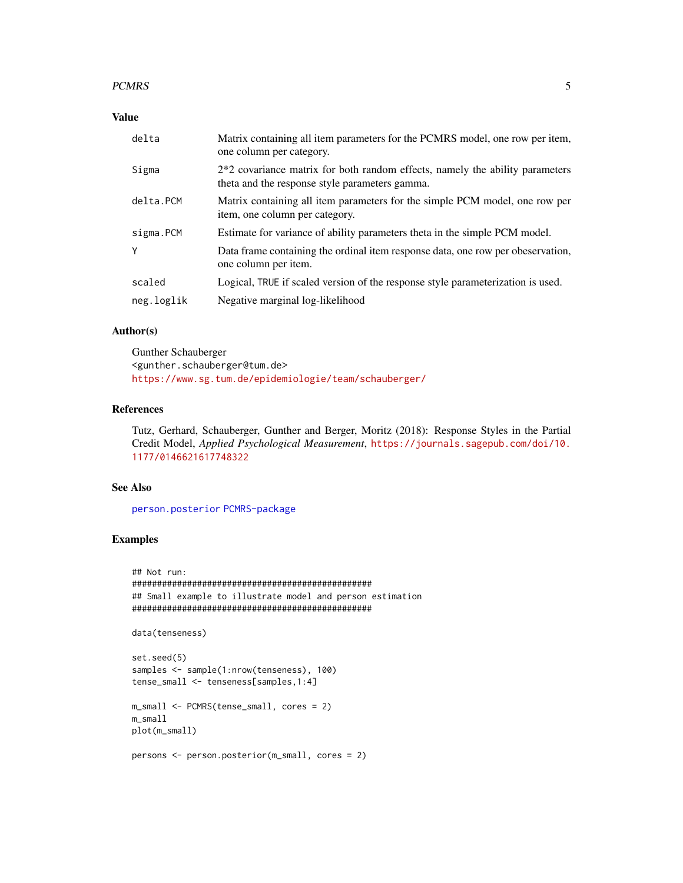#### <span id="page-4-0"></span>PCMRS 5

#### Value

| delta      | Matrix containing all item parameters for the PCMRS model, one row per item,<br>one column per category.                         |
|------------|----------------------------------------------------------------------------------------------------------------------------------|
| Sigma      | $2*2$ covariance matrix for both random effects, namely the ability parameters<br>theta and the response style parameters gamma. |
| delta.PCM  | Matrix containing all item parameters for the simple PCM model, one row per<br>item, one column per category.                    |
| sigma.PCM  | Estimate for variance of ability parameters theta in the simple PCM model.                                                       |
| Y          | Data frame containing the ordinal item response data, one row per obeservation,<br>one column per item.                          |
| scaled     | Logical, TRUE if scaled version of the response style parameterization is used.                                                  |
| neg.loglik | Negative marginal log-likelihood                                                                                                 |

#### Author(s)

Gunther Schauberger <gunther.schauberger@tum.de> <https://www.sg.tum.de/epidemiologie/team/schauberger/>

#### References

Tutz, Gerhard, Schauberger, Gunther and Berger, Moritz (2018): Response Styles in the Partial Credit Model, *Applied Psychological Measurement*, [https://journals.sagepub.com/doi/10.](https://journals.sagepub.com/doi/10.1177/0146621617748322) [1177/0146621617748322](https://journals.sagepub.com/doi/10.1177/0146621617748322)

#### See Also

[person.posterior](#page-5-1) [PCMRS-package](#page-1-1)

#### Examples

```
## Not run:
################################################
## Small example to illustrate model and person estimation
################################################
data(tenseness)
set.seed(5)
samples <- sample(1:nrow(tenseness), 100)
tense_small <- tenseness[samples,1:4]
m_small <- PCMRS(tense_small, cores = 2)
m_small
plot(m_small)
persons <- person.posterior(m_small, cores = 2)
```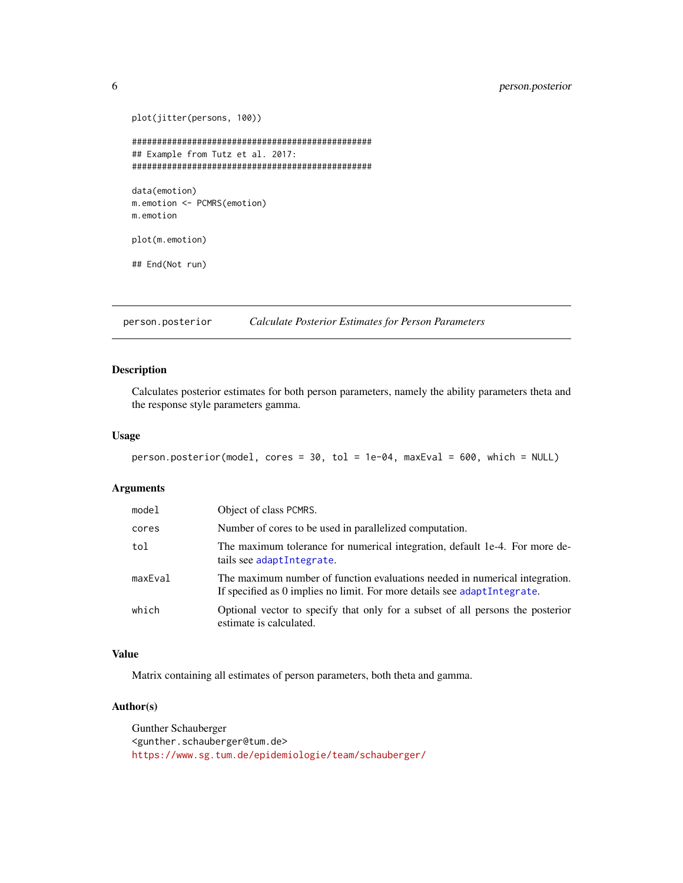```
plot(jitter(persons, 100))
################################################
## Example from Tutz et al. 2017:
################################################
data(emotion)
m.emotion <- PCMRS(emotion)
m.emotion
plot(m.emotion)
## End(Not run)
```
<span id="page-5-1"></span>person.posterior *Calculate Posterior Estimates for Person Parameters*

#### Description

Calculates posterior estimates for both person parameters, namely the ability parameters theta and the response style parameters gamma.

#### Usage

```
person.posterior(model, cores = 30, tol = 1e-04, maxEval = 600, which = NULL)
```
#### Arguments

| model   | Object of class PCMRS.                                                                                                                                   |
|---------|----------------------------------------------------------------------------------------------------------------------------------------------------------|
| cores   | Number of cores to be used in parallelized computation.                                                                                                  |
| tol     | The maximum tolerance for numerical integration, default 1e-4. For more de-<br>tails see adaptIntegrate.                                                 |
| maxEval | The maximum number of function evaluations needed in numerical integration.<br>If specified as 0 implies no limit. For more details see adapt Integrate. |
| which   | Optional vector to specify that only for a subset of all persons the posterior<br>estimate is calculated.                                                |

#### Value

Matrix containing all estimates of person parameters, both theta and gamma.

#### Author(s)

Gunther Schauberger <gunther.schauberger@tum.de> <https://www.sg.tum.de/epidemiologie/team/schauberger/>

<span id="page-5-0"></span>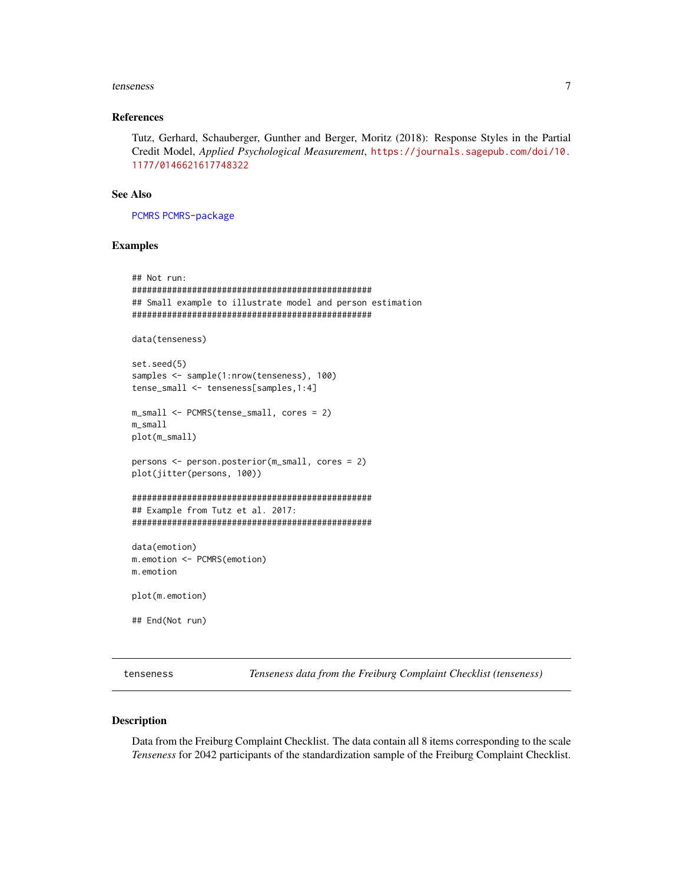#### <span id="page-6-0"></span>tenseness 7

#### References

Tutz, Gerhard, Schauberger, Gunther and Berger, Moritz (2018): Response Styles in the Partial Credit Model, *Applied Psychological Measurement*, [https://journals.sagepub.com/doi/10.](https://journals.sagepub.com/doi/10.1177/0146621617748322) [1177/0146621617748322](https://journals.sagepub.com/doi/10.1177/0146621617748322)

#### See Also

[PCMRS](#page-3-1) [PCMRS-package](#page-1-1)

#### Examples

```
## Not run:
################################################
## Small example to illustrate model and person estimation
################################################
data(tenseness)
set.seed(5)
samples <- sample(1:nrow(tenseness), 100)
tense_small <- tenseness[samples,1:4]
m_small <- PCMRS(tense_small, cores = 2)
m_small
plot(m_small)
persons <- person.posterior(m_small, cores = 2)
plot(jitter(persons, 100))
################################################
## Example from Tutz et al. 2017:
################################################
data(emotion)
m.emotion <- PCMRS(emotion)
m.emotion
plot(m.emotion)
## End(Not run)
```
<span id="page-6-1"></span>tenseness *Tenseness data from the Freiburg Complaint Checklist (tenseness)*

#### Description

Data from the Freiburg Complaint Checklist. The data contain all 8 items corresponding to the scale *Tenseness* for 2042 participants of the standardization sample of the Freiburg Complaint Checklist.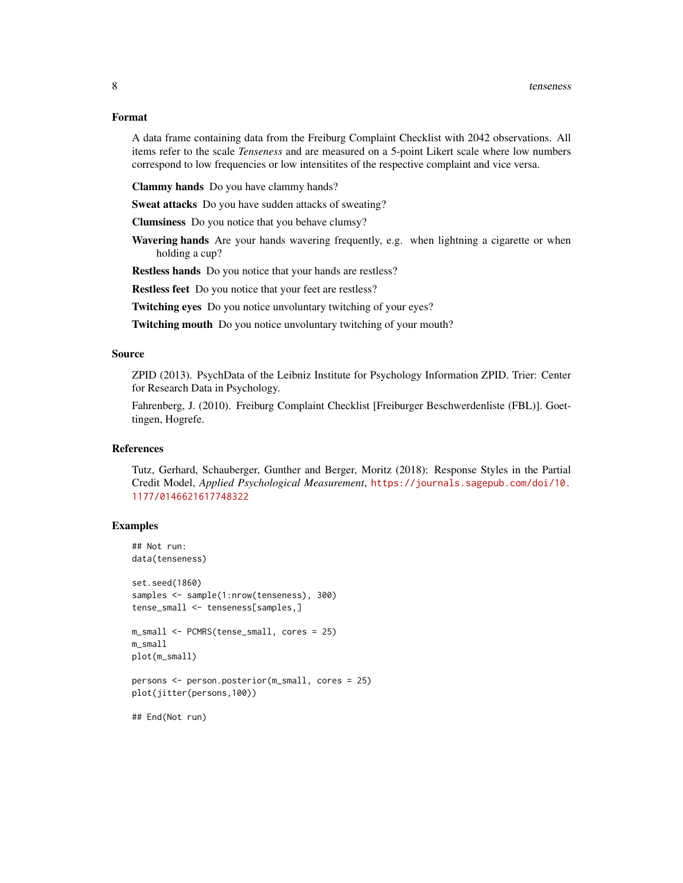#### Format

A data frame containing data from the Freiburg Complaint Checklist with 2042 observations. All items refer to the scale *Tenseness* and are measured on a 5-point Likert scale where low numbers correspond to low frequencies or low intensitites of the respective complaint and vice versa.

Clammy hands Do you have clammy hands?

Sweat attacks Do you have sudden attacks of sweating?

Clumsiness Do you notice that you behave clumsy?

Wavering hands Are your hands wavering frequently, e.g. when lightning a cigarette or when holding a cup?

Restless hands Do you notice that your hands are restless?

Restless feet Do you notice that your feet are restless?

Twitching eyes Do you notice unvoluntary twitching of your eyes?

Twitching mouth Do you notice unvoluntary twitching of your mouth?

#### Source

ZPID (2013). PsychData of the Leibniz Institute for Psychology Information ZPID. Trier: Center for Research Data in Psychology.

Fahrenberg, J. (2010). Freiburg Complaint Checklist [Freiburger Beschwerdenliste (FBL)]. Goettingen, Hogrefe.

#### References

Tutz, Gerhard, Schauberger, Gunther and Berger, Moritz (2018): Response Styles in the Partial Credit Model, *Applied Psychological Measurement*, [https://journals.sagepub.com/doi/10.](https://journals.sagepub.com/doi/10.1177/0146621617748322) [1177/0146621617748322](https://journals.sagepub.com/doi/10.1177/0146621617748322)

#### Examples

## End(Not run)

```
## Not run:
data(tenseness)
set.seed(1860)
samples <- sample(1:nrow(tenseness), 300)
tense_small <- tenseness[samples,]
m_small <- PCMRS(tense_small, cores = 25)
m_small
plot(m_small)
persons <- person.posterior(m_small, cores = 25)
plot(jitter(persons,100))
```